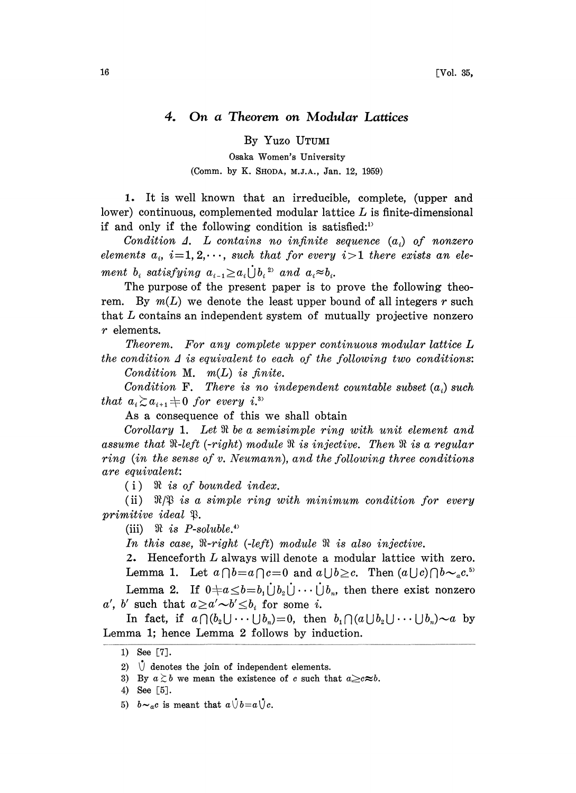## 4. On a Theorem on Modular Lattices

By Yuzo UTUM

Osaka Women's University (Comm. by K. SHODA, M.J.A., Jan. 12, 1959)

1. It is well known that an irreducible, complete, (upper and lower) continuous, complemented modular lattice  $L$  is finite-dimensional if and only if the following condition is satisfied:<sup>1)</sup>

Condition  $\Delta$ . L contains no infinite sequence  $(a_i)$  of nonzero elements  $a_i$ ,  $i=1, 2, \dots$ , such that for every  $i>1$  there exists an element  $b_i$  satisfying  $a_{i-1}{\geq}a_i\dot\bigcup b_i$ <sup>25</sup> and  $a_i{\approx}b_i$ .

The purpose of the present paper is to prove the following theorem. By  $m(L)$  we denote the least upper bound of all integers r such that L contains an independent system of mutually projective nonzero r elements.

Theorem. For any complete upper continuous modular lattice L the condition  $\Delta$  is equivalent to each of the following two conditions:

Condition M.  $m(L)$  is finite.

Condition F. There is no independent countable subset  $(a_i)$  such that  $a_i \gtrsim a_{i+1} + 0$  for every i.<sup>3)</sup>

As a consequence of this we shall obtain

Corollary 1. Let  $\Re$  be a semisimple ring with unit element and assume that  $\Re$ -left (-right) module  $\Re$  is injective. Then  $\Re$  is a regular ring (in the sense of v. Neumann), and the following three conditions are equivalent:

 $(i)$   $\mathcal{R}$  is of bounded index.

(ii)  $\mathbb{R}/\mathbb{S}$  is a simple ring with minimum condition for every primitive ideal  $\begin{array}{lll} \textit{itive} & \textit{ideal} & \mathfrak{P}. & \ \textit{(iii)} & \mathfrak{R} & \textit{is} & P\textit{-soluble.} \end{array}$ 

In this case,  $\Re$ -right (-left) module  $\Re$  is also injective.

2. Henceforth L always will denote a modular lattice with zero. Lemma 1. Let  $a \cap b = a \cap c = 0$  and  $a \cup b \geq c$ . Then  $(a \cup c) \cap b \sim_a c^{5}$ . Lemma 2. If  $0 \neq a \leq b=b_1 \dot{\bigcup} b_2 \dot{\bigcup} \cdots \dot{\bigcup} b_n$ , then there exist nonzero

a', b' such that  $a \geq a' \sim b' \leq b_i$  for some i.

In fact, if  $a \bigcap (b_2 \bigcup \cdots \bigcup b_n)=0$ , then  $b_1 \bigcap (a \bigcup b_2 \bigcup \cdots \bigcup b_n) \sim a$  by Lemma 1; hence Lemma 2 follows by induction.

4) See [5].

5)  $b \sim_a c$  is meant that  $a \dot{\cup} b = a \dot{\cup} c$ .

<sup>1)</sup> See [7].

<sup>2)</sup>  $\bigvee$  denotes the join of independent elements.

<sup>3)</sup> By  $a \ge b$  we mean the existence of c such that  $a \ge c \approx b$ .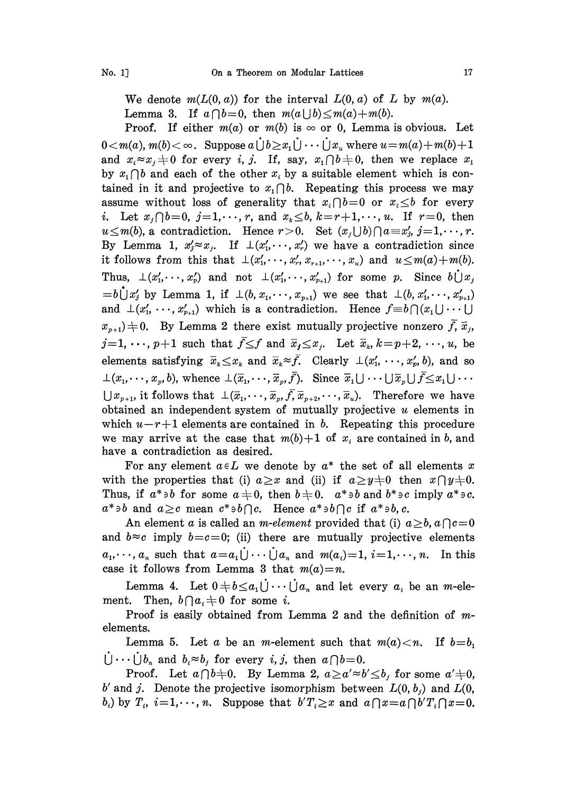We denote  $m(L(0, a))$  for the interval  $L(0, a)$  of L by  $m(a)$ . Lemma 3. If  $a \cap b=0$ , then  $m(a \cup b) \leq m(a)+m(b)$ .

Proof. If either  $m(a)$  or  $m(b)$  is  $\infty$  or 0, Lemma is obvious. Let  $0 < m(a), m(b) < \infty$ . Suppose  $a \bigcup b \geq x_1 \bigcup \cdots \bigcup x_u$  where  $u = m(a) + m(b) + 1$ and  $x_i \approx x_j \pm 0$  for every i, j. If, say,  $x_i \cap b \neq 0$ , then we replace  $x_i$ by  $x_i \cap b$  and each of the other  $x_i$  by a suitable element which is contained in it and projective to  $x_i \cap b$ . Repeating this process we may assume without loss of generality that  $x_i \cap b=0$  or  $x_i \leq b$  for every *i.* Let  $x_j \cap b=0$ ,  $j=1,\dots,r$ , and  $x_k \leq b$ ,  $k=r+1,\dots,u$ . If  $r=0$ , then  $u \leq m(b)$ , a contradiction. Hence  $r>0$ . Set  $(x_j\bigcup b)\bigcap a=x'_j$ ,  $j=1,\dots,r$ . By Lemma 1,  $x'_j \approx x_j$ . If  $\perp (x'_1, \dots, x'_r)$  we have a contradiction since it follows from this that  $\bot(x'_1,\dots, x'_r, x_{r+1}, \dots, x_n)$  and  $u \leq m(a)+m(b)$ . Thus,  $\perp(x'_1,\dots,x'_p)$  and not  $\perp(x'_1,\dots,x'_{p+1})$  for some p. Since  $b\bigcup x_j$  $= b \dot{\bigcup} x'_j$  by Lemma 1, if  $\bot (b, x_1, \dots, x_{p+1})$  we see that  $\bot (b, x'_1, \dots, x'_{p+1})$ and  $\perp (x'_1, \ldots, x'_{n+1})$  which is a contradiction. Hence  $f \equiv b \cap (x_1 \cup \cdots \cup$  $x_{n+1}$   $\neq$  0. By Lemma 2 there exist mutually projective nonzero  $\bar{f}, \bar{x}_i$ ,  $j=1, \dots, p+1$  such that  $\bar{f} \leq f$  and  $\bar{x}_j \leq x_j$ . Let  $\bar{x}_k, k=p+2, \dots, u$ , be elements satisfying  $\bar{x}_k \leq x_k$  and  $\bar{x}_k \approx \bar{f}$ . Clearly  $\perp (x'_1, \ldots, x'_p, b)$ , and so  $\bot(x_1, \dots, x_n, b)$ , whence  $\bot(\overline{x}_1, \dots, \overline{x}_n, \overline{f})$ . Since  $\overline{x}_1 \cup \cdots \cup \overline{x}_n \cup \overline{f} \leq x_1 \cup \cdots$  $\bigcup x_{p+1}$ , it follows that  $\bot(\bar{x}_1,\dots,\bar{x}_p,\bar{f},\bar{x}_{p+2},\dots,\bar{x}_u)$ . Therefore we have obtained an independent system of mutually projective  $u$  elements in which  $u-r+1$  elements are contained in b. Repeating this procedure we may arrive at the case that  $m(b)+1$  of  $x_i$  are contained in b, and have a contradiction as desired.

For any element  $a \in L$  we denote by  $a^*$  the set of all elements x with the properties that (i)  $a \geq x$  and (ii) if  $a \geq y \neq 0$  then  $x \cap y \neq 0$ . Thus, if  $a^* \ni b$  for some  $a \neq 0$ , then  $b \neq 0$ .  $a^* \ni b$  and  $b^* \ni c$  imply  $a^* \ni c$ .  $a^*\ni b$  and  $a\geq c$  mean  $c^*\ni b\cap c$ . Hence  $a^*\ni b\cap c$  if  $a^*\ni b, c$ .

An element a is called an *m-element* provided that (i)  $a \geq b$ ,  $a \cap c = 0$ and  $b \approx c$  imply  $b = c = 0$ ; (ii) there are mutually projective elements  $a_1, \dots, a_n$  such that  $a=a_1\dot{\bigcup} \dots \dot{\bigcup} a_n$  and  $m(a_i)=1$ ,  $i=1,\dots, n$ . In this case it follows from Lemma 3 that  $m(a)=n$ .

Lemma 4. Let  $0 \neq b \leq a_1 \dot{\bigcup} \cdots \dot{\bigcup} a_n$  and let every  $a_i$  be an *m*-element. Then,  $b \bigcap a_i \neq 0$  for some *i*.

Proof is easily obtained from Lemma 2 and the definition of melements.

 $\dot{\bigcup} \cdots \dot{\bigcup} b_n$  and  $b_i \approx b_j$  for every i, j, then  $a \bigcap b = 0$ . Lemma 5. Let a be an m-element such that  $m(a) < n$ . If  $b = b_1$ 

Proof. Let  $a \bigcap b=0$ . By Lemma 2,  $a \ge a' \approx b' \le b$  for some  $a'+0$ , b' and j. Denote the projective isomorphism between  $L(0, b_j)$  and  $L(0, b_j)$  $b_i$ ) by  $T_i$ ,  $i=1,\dots, n$ . Suppose that  $b'T_i \geq x$  and  $a \bigcap x=a \bigcap b'T_i \bigcap x=0$ .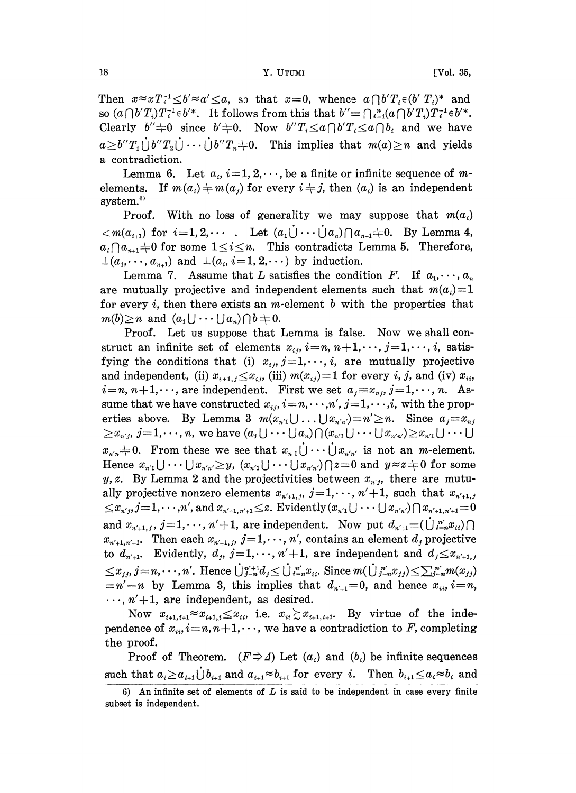Then  $x \approx xT_i^{-1} \leq b' \approx a' \leq a$ , so that  $x=0$ , whence  $a \bigcap b' T_i \in (b' T_i)^*$  and so  $(a\bigcap b'T_i)T_i^{-1}\in b'^*$ . It follows from this that  $b''\equiv\bigcap_{i=1}^n(a\bigcap b'T_i)T_i^{-1}\in b'^*$ . Clearly  $b''+0$  since  $b'+0$ . Now  $b''T_i \le a \bigcap b'T_i \le a \bigcap b_i$  and we have  $a \geq b''T_1 \cup b''T_2 \cup \cdots \cup b''T_n \neq 0$ . This implies that  $m(a) \geq n$  and yields a contradiction.

Lemma 6. Let  $a_i$ ,  $i=1, 2, \dots$ , be a finite or infinite sequence of melements. If  $m(a_i) \neq m(a_j)$  for every  $i \neq j$ , then  $(a_i)$  is an independent system.<sup>6)</sup>

Proof. With no loss of generality we may suppose that  $m(a_i)$  $\langle m(a_{i+1})$  for  $i=1, 2, \cdots$ . Let  $(a_1 \dot{\bigcup} \cdots \dot{\bigcup} a_n) \cap a_{n+1} \neq 0$ . By Lemma 4,  $a_i \cap a_{n+1}$  + 0 for some  $1 \leq i \leq n$ . This contradicts Lemma 5. Therefore,  $\bot(a_1, \dots, a_{n+1})$  and  $\bot(a_i, i=1, 2, \dots)$  by induction.

Lemma 7. Assume that L satisfies the condition F. If  $a_1, \dots, a_n$ are mutually projective and independent elements such that  $m(a_i)=1$ for every i, then there exists an m-element b with the properties that  $m(b) \geq n$  and  $(a_1 \cup \cdots \cup a_n) \cap b = 0$ .

Proof. Let us suppose that Lemma is false. Now we shall construct an infinite set of elements  $x_{i,j}$ ,  $i=n, n+1, \dots, j=1, \dots, i$ , satisfying the conditions that (i)  $x_{ij}$ ,  $j=1,\dots, i$ , are mutually projective and independent, (ii)  $x_{i+1,j} \leq x_{i,j}$ , (iii)  $m(x_{i,j})=1$  for every i, j, and (iv)  $x_{i,j}$  $i=n, n+1,\dots$ , are independent. First we set  $a_j\text{ }\equiv \text{ }x_{n,j}, j=1,\dots, n.$  Assume that we have constructed  $x_{ij}, i=n,\cdots,n', j=1,\cdots,i$ , with the properties above. By Lemma 3  $m(x_{n'1} \cup \ldots \cup x_{n'n'})=n'\geq n$ . Since  $a_j=x_{nj}$  $\geq x_{n,j}, j=1,\dots, n$ , we have  $(a_1\bigcup \cdots \bigcup a_n)\bigcap (x_{n'}\bigcup \cdots \bigcup x_{n'n'}\biggeq x_{n'}\bigcup \cdots \bigcup$  $\geq x_{n',j}, j=1,\dots, n$ , we have  $(a_1 \cup \cdots \cup a_n) \cap (x_{n'1} \cup \cdots \cup x_{n'n'}) \geq x_{n'1} \cup \cdots \cup x_{n'n'}$ <br>  $x_{n'n} \neq 0$ . From these we see that  $x_{n,1} \cup \cdots \cup x_{n'n'}$  is not an *m*-element.<br>
Hence  $x_{n'1} \cup \cdots \cup x_{n'n'} \geq y$ ,  $(x_{n'1} \cup \cdots \cup x_{n'n'}) \$ Hence  $x_{n_1} \cup \cdots \cup x_{n_n} \geq y$ ,  $(x_{n_1} \cup \cdots \cup x_{n_n}) \cap z = 0$  and  $y \approx z \neq 0$  for some y, z. By Lemma 2 and the projectivities between  $x_{n,i}$ , there are mutually projective nonzero elements  $x_{n'+1,j}$ ,  $j=1,\dots, n'+1$ , such that  $x_{n'+1,j}$  $\leq x_{n',i}, j=1,\dots,n',$  and  $x_{n'+1,n'+1} \leq z$ . Evidently  $(x_{n'1} \cup \dots \cup x_{n'n'}) \cap x_{n'+1,n'+1} = 0$ and  $x_{n'+1,j}$ ,  $j=1,\dots, n'+1$ , are independent. Now put  $d_{n'+1}\equiv(\dot{\bigcup}_{i=n}^{n'}x_{ii})\cap$  $x_{n'+1,n'+1}$ . Then each  $x_{n'+1,j}$ ,  $j=1,\dots, n'$ , contains an element  $d_j$  projective to  $d_{n'+1}$ . Evidently,  $d_j$ ,  $j=1,\dots, n'+1$ , are independent and  $d_j \leq x_{n'+1,j}$  $\leq x_{j,j}, j=n,\cdots,n'$ . Hence  $\bigcup_{j=n}^{n'+1}d_j \leq \bigcup_{i=n}^{n'}x_{i,i}$ . Since  $m(\bigcup_{j=n}^{n'}x_{j,j}) \leq \sum_{j=n}^{n'}m(x_{j,j})$  $=n'-n$  by Lemma 3, this implies that  $d_{n'+1}=0$ , and hence  $x_{ii}$ ,  $i=n$ ,  $\ldots$ ,  $n'+1$ , are independent, as desired.

Now  $x_{i+1,i+1} \approx x_{i+1,i} \leq x_{ii}$ , i.e.  $x_{ii} \geq x_{i+1,i+1}$ . By virtue of the independence of  $x_{ii}$ ,  $i=n, n+1, \dots$ , we have a contradiction to F, completing the proof.

Proof of Theorem.  $(F \Rightarrow \Delta)$  Let  $(a_i)$  and  $(b_i)$  be infinite sequences such that  $a_i \ge a_{i+1} \bigcup b_{i+1}$  and  $a_{i+1} \approx b_{i+1}$  for every i. Then  $b_{i+1} \le a_i \approx b_i$  and

<sup>6)</sup> An infinite set of elements of  $L$  is said to be independent in case every finite subset is independent.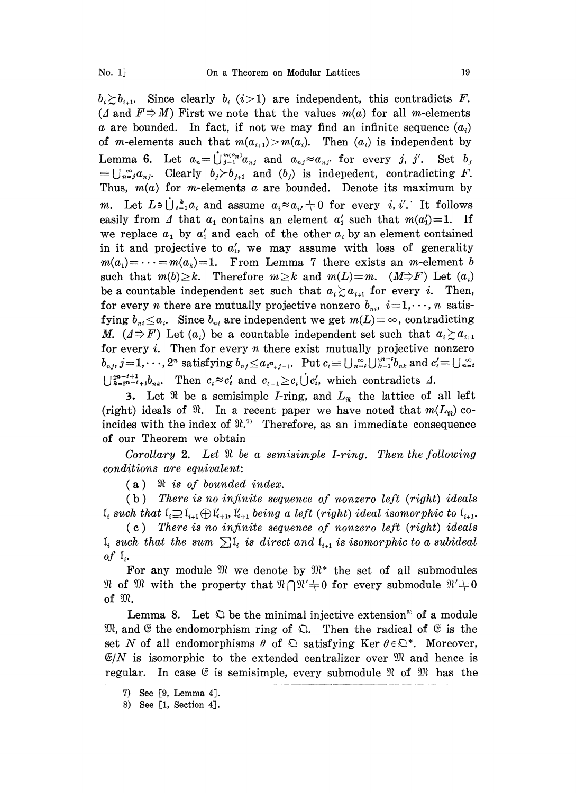$b_i \geq b_{i+1}$ . Since clearly  $b_i$  ( $i > 1$ ) are independent, this contradicts F.<br>( $\Delta$  and  $F \Rightarrow M$ ) First we note that the values  $m(a)$  for all m-elements a are bounded. In fact, if not we may find an infinite sequence  $(a_i)$ of m-elements such that  $m(a_{i+1})>m(a_i)$ . Then  $(a_i)$  is independent by Lemma 6. Let  $a_n = \bigcup_{j=1}^{m(a_n)} a_{nj}$  and  $a_{nj} \approx a_{nj'}$  for every j, j'. Set  $b_j$  $=\bigcup_{n=1}^{\infty}a_{n,i}$ . Clearly  $b_j \rangle b_{j+1}$  and  $(b_j)$  is indepedent, contradicting F. Thus,  $m(a)$  for m-elements a are bounded. Denote its maximum by m. Let  $L \ni \bigcup_{i=1}^{k} a_i$  and assume  $a_i \approx a_{i'} \neq 0$  for every i, i'. It follows easily from  $\Delta$  that  $a_1$  contains an element  $a'_1$  such that  $m(a'_1)=1$ . If we replace  $a_1$  by  $a'_1$  and each of the other  $a_i$  by an element contained in it and projective to  $a'_1$ , we may assume with loss of generality  $m(a_1) = \cdots = m(a_k) = 1$ . From Lemma 7 there exists an *m*-element b such that  $m(b) \geq k$ . Therefore  $m \geq k$  and  $m(L)=m$ .  $(M \Rightarrow F)$  Let  $(a_i)$ be a countable independent set such that  $a_i \ge a_{i+1}$  for every i. Then, for every *n* there are mutually projective nonzero  $b_{ni}$ ,  $i=1,\dots, n$  satisfying  $b_{ni} \leq a_i$ . Since  $b_{ni}$  are independent we get  $m(L) = \infty$ , contradicting M.  $(1 \Rightarrow F)$  Let  $(a_i)$  be a countable independent set such that  $a_i \ge a_{i+1}$ for every  $i$ . Then for every  $n$  there exist mutually projective nonzero  $b_{n,j}, j=1,\dots,2^n$  satisfying  $b_{n,j} \le a_{2^n+j-1}$ . Put  $c_i \equiv \bigcup_{n=i} \bigcup_{k=1}^{\infty} b_{n,k}$  and  $c_i' \equiv \bigcup_{n=i} \infty$  $\sum_{k=2^{n-t}+1}^{2^{n-t}+1} b_{nk}$ . Then  $c_i \approx c'_i$  and  $c_{t-1} \geq c_t \bigcup c'_i$ , which contradicts

3. Let  $\Re$  be a semisimple *I*-ring, and  $L_{\Re}$  the lattice of all left (right) ideals of  $\Re$ . In a recent paper we have noted that  $m(L_{\Re})$  coincides with the index of  $\mathfrak{R}^n$ . Therefore, as an immediate consequence of our Theorem we obtain

Corollary 2. Let  $\Re$  be a semisimple I-ring. Then the following conditions are equivalent:

 $(a)$   $\Re$  is of bounded index.

 $(b)$  There is no infinite sequence of nonzero left (right) ideals  $I_i$  such that  $I_i \supseteq I_{i+1} \oplus I'_{i+1}$ ,  $I'_{i+1}$  being a left (right) ideal isomorphic to  $I_{i+1}$ .

 $(c)$  There is no infinite sequence of nonzero left (right) ideals  $\mathfrak{I}_i$  such that the sum  $\sum \mathfrak{I}_i$  is direct and  $\mathfrak{I}_{i+1}$  is isomorphic to a subideal of  $\mathfrak{l}_i$ .

For any module  $\mathfrak{M}$  we denote by  $\mathfrak{M}^*$  the set of all submodules of  $\mathfrak{M}$  with the property that  $\mathfrak{N} \cap \mathfrak{N}' + 0$  for every submodule  $\mathfrak{N}' + 0$  $\mathcal{R}$  of  $\mathcal{R}$  with the property that  $\mathcal{R} \cap \mathcal{R}' \neq 0$  for every submodule  $\mathcal{R}' \neq 0$  of  $\mathcal{R}$ .

Lemma 8. Let  $\mathfrak D$  be the minimal injective extension<sup>85</sup> of a module  $\mathfrak{M}$ , and  $\mathfrak{E}$  the endomorphism ring of  $\mathfrak{O}$ . Then the radical of  $\mathfrak{E}$  is the set N of all endomorphisms  $\theta$  of  $\Omega$  satisfying Ker  $\theta \in \Omega^*$ . Moreover,  $\mathfrak{C}/N$  is isomorphic to the extended centralizer over  $\mathfrak{M}$  and hence is regular. In case  $\mathfrak{E}$  is semisimple, every submodule  $\mathfrak{R}$  of  $\mathfrak{M}$  has the

<sup>7)</sup> See [9, Lemma 4].

<sup>8)</sup> See [1, Section 4].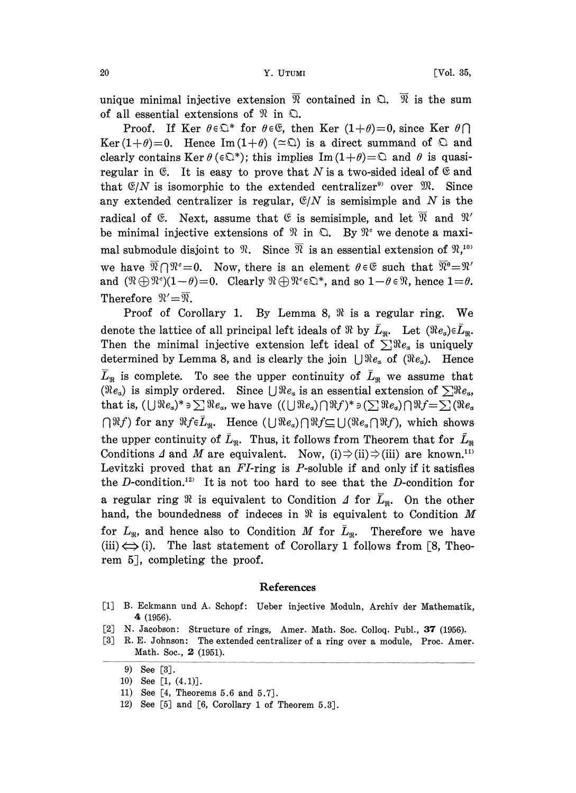unique minimal injective extension  $\overline{\mathfrak{R}}$  contained in  $\mathfrak{Q}$ .  $\overline{\mathfrak{R}}$  is the sum of all essential extensions of  $\mathcal{R}$  in  $\mathcal{Q}$ .

Proof. If Ker  $\theta \in \mathbb{Q}^*$  for  $\theta \in \mathbb{G}$ , then Ker  $(1+\theta)=0$ , since Ker  $\theta \cap$ Ker(1+ $\theta$ )=0. Hence Im(1+ $\theta$ ) ( $\approx$  Ω) is a direct summand of  $\Omega$  and clearly contains Ker  $\theta$  ( $\epsilon \mathbb{Q}^*$ ); this implies Im(1+ $\theta$ )= $\mathbb Q$  and  $\theta$  is quasiregular in  $\mathfrak{E}$ . It is easy to prove that N is a two-sided ideal of  $\mathfrak{E}$  and that  $\mathfrak{S}/N$  is isomorphic to the extended centralizer<sup>9</sup> over  $\mathfrak{M}$ . Since any extended centralizer is regular,  $\mathcal{C}/N$  is semisimple and N is the radical of  $\mathfrak{E}$ . Next, assume that  $\mathfrak{E}$  is semisimple, and let  $\overline{\mathfrak{R}}$  and  $\mathfrak{R}'$ be minimal injective extensions of  $\mathcal{R}$  in  $\mathbb{Q}$ . By  $\mathcal{R}^c$  we denote a maximal submodule disjoint to  $\mathcal{R}$ . Since  $\overline{\mathcal{R}}$  is an essential extension of  $\mathcal{R},^{10}$ mal submodule disjoint to  $\pi$ . Since  $\pi$  is an essential extension of  $\pi$ ,  $\pi$  we have  $\overline{\mathcal{R}} \cap \mathcal{R}^c = 0$ . Now, there is an element  $\theta \in \mathfrak{E}$  such that  $\overline{\mathcal{R}}^0 = \mathcal{R}'$  and  $(\mathcal{R} \oplus \mathcal{R}^c)(1-\theta) = 0$ . C Therefore  $\mathfrak{N}'=\overline{\mathfrak{N}}$ .

Proof of Corollary 1. By Lemma 8,  $\Re$  is a regular ring. We denote the lattice of all principal left ideals of  $\Re$  by  $\overline{L}_{\Re}$ . Let  $(\Re e_{\alpha}) \in \overline{L}_{\Re}$ . Then the minimal injective extension left ideal of  $\sum \Re e_{\alpha}$  is uniquely determined by Lemma 8, and is clearly the join  $\bigcup \Re e_{\alpha}$  of  $(\Re e_{\alpha})$ . Hence  $\bar{L}_{\Re}$  is complete. To see the upper continuity of  $\bar{L}_{\Re}$  we assume that ( $Re_a$ ) is simply ordered. Since  $\bigcup Re_a$  is an essential extension of  $\sum Re_a$ , that is,  $(\bigcup \Re e_a)^* \ni \sum \Re e_a$ , we have  $((\bigcup \Re e_a) \cap \Re f)^* \ni (\sum \Re e_a) \cap \Re f = \sum (\Re e_a)$  $\bigcap \Re f$ ) for any  $\Re f \in \bar{L}_{\Re}$ . Hence  $(\bigcup \Re e_{\alpha}) \bigcap \Re f \subseteq \bigcup (\Re e_{\alpha} \bigcap \Re f)$ , which shows. the upper continuity of  $\bar{L}_{\Re}$ . Thus, it follows from Theorem that for  $\bar{L}_{\Re}$ Conditions  $\Delta$  and  $M$  are equivalent. Now, (i)  $\Rightarrow$  (ii)  $\Rightarrow$  (iii) are known.<sup>11</sup> Levitzki proved that an  $FI$ -ring is  $P$ -soluble if and only if it satisfies the D-condition.<sup>12)</sup> It is not too hard to see that the D-condition for a regular ring  $\Re$  is equivalent to Condition  $\Delta$  for  $\overline{L}_{\Re}$ . On the other hand, the boundedness of indeces in  $\Re$  is equivalent to Condition M for  $L_{\mathfrak{m}}$ , and hence also to Condition M for  $L_{\mathfrak{m}}$ . Therefore we have (iii)  $\Longleftrightarrow$  (i). The last statement of Corollary 1 follows from [8, Theorem 5, completing the proof.

## References

- [1] B. Eckmann und A. Schopf: Ueber injective Moduln, Archiv der Mathematik, 4 (1956).
- [2] N. Jacobson: Structure of rings, Amer. Math. Soc. Colloq. Publ., 37 (1956).
- [3] R.E. Johnson: The extended centralizer of a ring over a module, Proc. Amer. Math. Soc., 2 (1951).

- 11) See [4, Theorems 5.6 and 5.7].
- 12) See [5] and [6, Corollary 1 of Theorem 5.3].

<sup>9)</sup> See [3].

<sup>10)</sup> See [1, (4.1)].